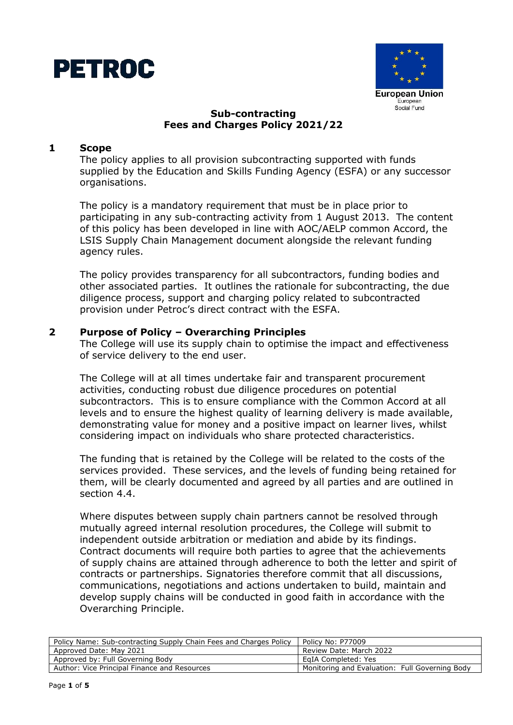



# **Sub-contracting Fees and Charges Policy 2021/22**

#### **1 Scope**

The policy applies to all provision subcontracting supported with funds supplied by the Education and Skills Funding Agency (ESFA) or any successor organisations.

The policy is a mandatory requirement that must be in place prior to participating in any sub-contracting activity from 1 August 2013. The content of this policy has been developed in line with AOC/AELP common Accord, the LSIS Supply Chain Management document alongside the relevant funding agency rules.

The policy provides transparency for all subcontractors, funding bodies and other associated parties. It outlines the rationale for subcontracting, the due diligence process, support and charging policy related to subcontracted provision under Petroc's direct contract with the ESFA.

#### **2 Purpose of Policy – Overarching Principles**

The College will use its supply chain to optimise the impact and effectiveness of service delivery to the end user.

The College will at all times undertake fair and transparent procurement activities, conducting robust due diligence procedures on potential subcontractors. This is to ensure compliance with the Common Accord at all levels and to ensure the highest quality of learning delivery is made available, demonstrating value for money and a positive impact on learner lives, whilst considering impact on individuals who share protected characteristics.

The funding that is retained by the College will be related to the costs of the services provided. These services, and the levels of funding being retained for them, will be clearly documented and agreed by all parties and are outlined in section 4.4.

Where disputes between supply chain partners cannot be resolved through mutually agreed internal resolution procedures, the College will submit to independent outside arbitration or mediation and abide by its findings. Contract documents will require both parties to agree that the achievements of supply chains are attained through adherence to both the letter and spirit of contracts or partnerships. Signatories therefore commit that all discussions, communications, negotiations and actions undertaken to build, maintain and develop supply chains will be conducted in good faith in accordance with the Overarching Principle.

| Policy Name: Sub-contracting Supply Chain Fees and Charges Policy | Policy No: P77009                              |
|-------------------------------------------------------------------|------------------------------------------------|
| Approved Date: May 2021                                           | Review Date: March 2022                        |
| Approved by: Full Governing Body                                  | EaIA Completed: Yes                            |
| Author: Vice Principal Finance and Resources                      | Monitoring and Evaluation: Full Governing Body |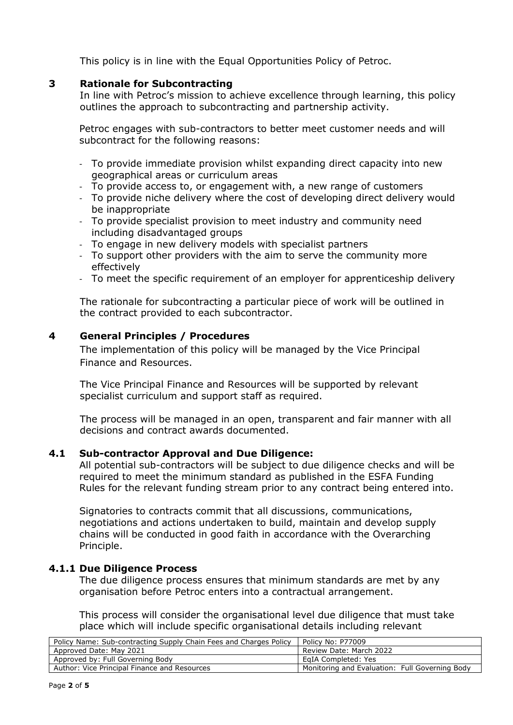This policy is in line with the Equal Opportunities Policy of Petroc.

### **3 Rationale for Subcontracting**

In line with Petroc's mission to achieve excellence through learning, this policy outlines the approach to subcontracting and partnership activity.

Petroc engages with sub-contractors to better meet customer needs and will subcontract for the following reasons:

- To provide immediate provision whilst expanding direct capacity into new geographical areas or curriculum areas
- To provide access to, or engagement with, a new range of customers
- To provide niche delivery where the cost of developing direct delivery would be inappropriate
- To provide specialist provision to meet industry and community need including disadvantaged groups
- To engage in new delivery models with specialist partners
- To support other providers with the aim to serve the community more effectively
- To meet the specific requirement of an employer for apprenticeship delivery

The rationale for subcontracting a particular piece of work will be outlined in the contract provided to each subcontractor.

## **4 General Principles / Procedures**

The implementation of this policy will be managed by the Vice Principal Finance and Resources.

The Vice Principal Finance and Resources will be supported by relevant specialist curriculum and support staff as required.

The process will be managed in an open, transparent and fair manner with all decisions and contract awards documented.

#### **4.1 Sub-contractor Approval and Due Diligence:**

All potential sub-contractors will be subject to due diligence checks and will be required to meet the minimum standard as published in the ESFA Funding Rules for the relevant funding stream prior to any contract being entered into.

Signatories to contracts commit that all discussions, communications, negotiations and actions undertaken to build, maintain and develop supply chains will be conducted in good faith in accordance with the Overarching Principle.

#### **4.1.1 Due Diligence Process**

The due diligence process ensures that minimum standards are met by any organisation before Petroc enters into a contractual arrangement.

This process will consider the organisational level due diligence that must take place which will include specific organisational details including relevant

| Policy No: P77009                              |
|------------------------------------------------|
| Review Date: March 2022                        |
| EqIA Completed: Yes                            |
| Monitoring and Evaluation: Full Governing Body |
|                                                |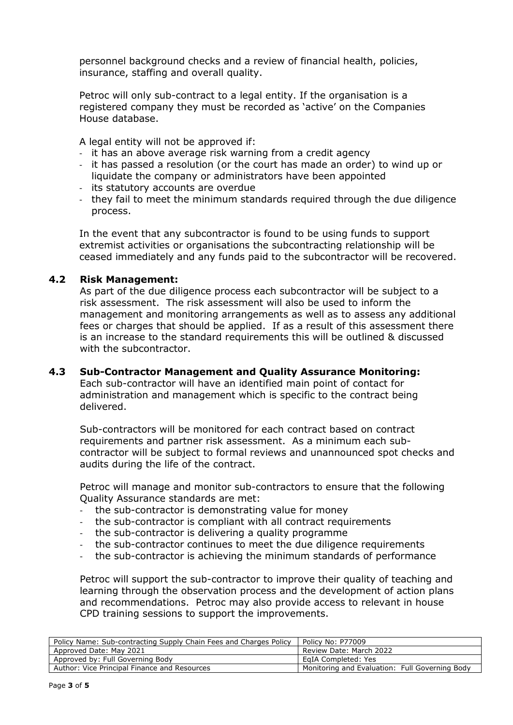personnel background checks and a review of financial health, policies, insurance, staffing and overall quality.

Petroc will only sub-contract to a legal entity. If the organisation is a registered company they must be recorded as 'active' on the Companies House database.

A legal entity will not be approved if:

- it has an above average risk warning from a credit agency
- it has passed a resolution (or the court has made an order) to wind up or liquidate the company or administrators have been appointed
- its statutory accounts are overdue
- they fail to meet the minimum standards required through the due diligence process.

In the event that any subcontractor is found to be using funds to support extremist activities or organisations the subcontracting relationship will be ceased immediately and any funds paid to the subcontractor will be recovered.

# **4.2 Risk Management:**

As part of the due diligence process each subcontractor will be subject to a risk assessment. The risk assessment will also be used to inform the management and monitoring arrangements as well as to assess any additional fees or charges that should be applied. If as a result of this assessment there is an increase to the standard requirements this will be outlined & discussed with the subcontractor.

## **4.3 Sub-Contractor Management and Quality Assurance Monitoring:**

Each sub-contractor will have an identified main point of contact for administration and management which is specific to the contract being delivered.

Sub-contractors will be monitored for each contract based on contract requirements and partner risk assessment. As a minimum each subcontractor will be subject to formal reviews and unannounced spot checks and audits during the life of the contract.

Petroc will manage and monitor sub-contractors to ensure that the following Quality Assurance standards are met:

- the sub-contractor is demonstrating value for money
- the sub-contractor is compliant with all contract requirements
- the sub-contractor is delivering a quality programme
- the sub-contractor continues to meet the due diligence requirements
- the sub-contractor is achieving the minimum standards of performance

Petroc will support the sub-contractor to improve their quality of teaching and learning through the observation process and the development of action plans and recommendations. Petroc may also provide access to relevant in house CPD training sessions to support the improvements.

| Policy Name: Sub-contracting Supply Chain Fees and Charges Policy | Policy No: P77009                              |
|-------------------------------------------------------------------|------------------------------------------------|
| Approved Date: May 2021                                           | Review Date: March 2022                        |
| Approved by: Full Governing Body                                  | EgIA Completed: Yes                            |
| Author: Vice Principal Finance and Resources                      | Monitoring and Evaluation: Full Governing Body |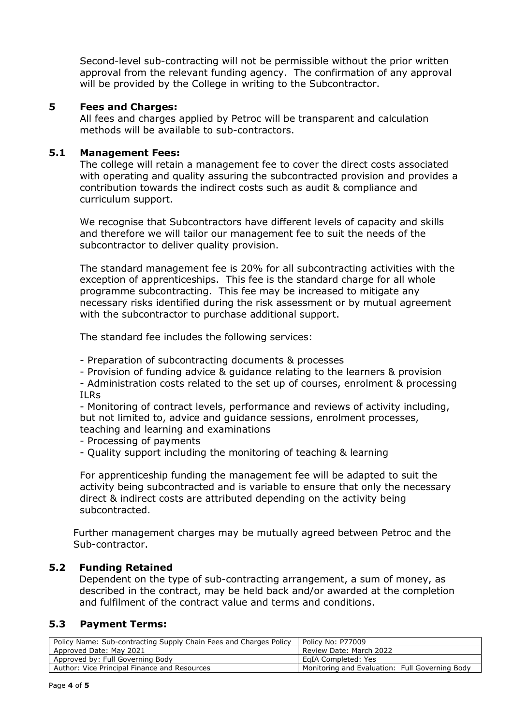Second-level sub-contracting will not be permissible without the prior written approval from the relevant funding agency. The confirmation of any approval will be provided by the College in writing to the Subcontractor.

### **5 Fees and Charges:**

All fees and charges applied by Petroc will be transparent and calculation methods will be available to sub-contractors.

#### **5.1 Management Fees:**

The college will retain a management fee to cover the direct costs associated with operating and quality assuring the subcontracted provision and provides a contribution towards the indirect costs such as audit & compliance and curriculum support.

We recognise that Subcontractors have different levels of capacity and skills and therefore we will tailor our management fee to suit the needs of the subcontractor to deliver quality provision.

The standard management fee is 20% for all subcontracting activities with the exception of apprenticeships. This fee is the standard charge for all whole programme subcontracting. This fee may be increased to mitigate any necessary risks identified during the risk assessment or by mutual agreement with the subcontractor to purchase additional support.

The standard fee includes the following services:

- Preparation of subcontracting documents & processes

- Provision of funding advice & guidance relating to the learners & provision

- Administration costs related to the set up of courses, enrolment & processing ILRs

- Monitoring of contract levels, performance and reviews of activity including, but not limited to, advice and guidance sessions, enrolment processes, teaching and learning and examinations

- Processing of payments
- Quality support including the monitoring of teaching & learning

For apprenticeship funding the management fee will be adapted to suit the activity being subcontracted and is variable to ensure that only the necessary direct & indirect costs are attributed depending on the activity being subcontracted.

Further management charges may be mutually agreed between Petroc and the Sub-contractor.

## **5.2 Funding Retained**

Dependent on the type of sub-contracting arrangement, a sum of money, as described in the contract, may be held back and/or awarded at the completion and fulfilment of the contract value and terms and conditions.

## **5.3 Payment Terms:**

| Policy Name: Sub-contracting Supply Chain Fees and Charges Policy | Policy No: P77009                              |
|-------------------------------------------------------------------|------------------------------------------------|
| Approved Date: May 2021                                           | Review Date: March 2022                        |
| Approved by: Full Governing Body                                  | EqIA Completed: Yes                            |
| Author: Vice Principal Finance and Resources                      | Monitoring and Evaluation: Full Governing Body |